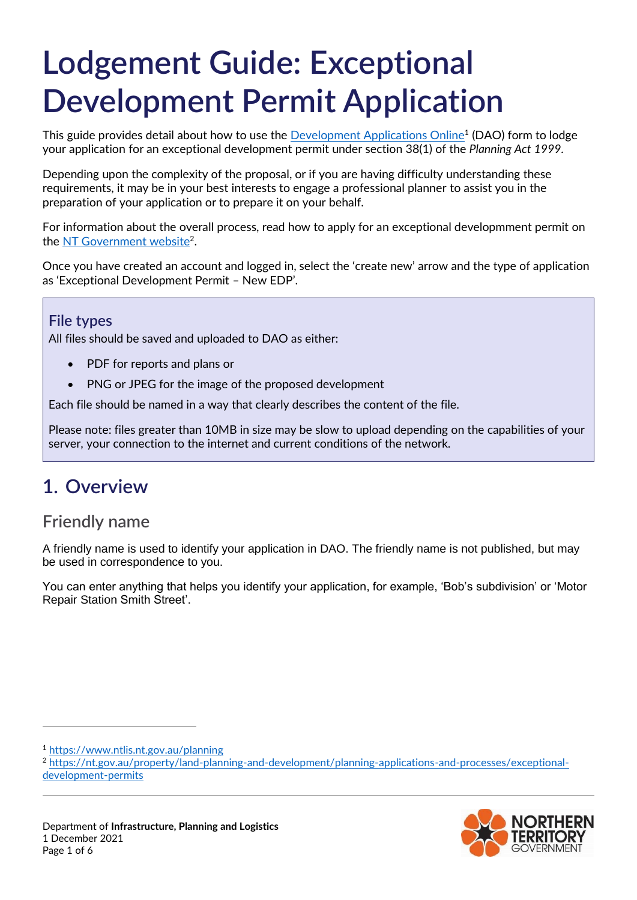# **Lodgement Guide: Exceptional Development Permit Application**

This guide provides detail about how to use the <u>Development Applications Online</u><sup>1</sup> (DAO) form to lodge your application for an exceptional development permit under section 38(1) of the *Planning Act 1999.*

Depending upon the complexity of the proposal, or if you are having difficulty understanding these requirements, it may be in your best interests to engage a professional planner to assist you in the preparation of your application or to prepare it on your behalf.

For information about the overall process, read how to apply for an exceptional developmment permit on the [NT Government website](https://nt.gov.au/property/land-planning-and-development/planning-applications-and-processes/exceptional-development-permits)<sup>2</sup>.

Once you have created an account and logged in, select the 'create new' arrow and the type of application as 'Exceptional Development Permit – New EDP'.

#### **File types**

All files should be saved and uploaded to DAO as either:

- PDF for reports and plans or
- PNG or JPEG for the image of the proposed development

Each file should be named in a way that clearly describes the content of the file.

Please note: files greater than 10MB in size may be slow to upload depending on the capabilities of your server, your connection to the internet and current conditions of the network.

# **1. Overview**

#### **Friendly name**

A friendly name is used to identify your application in DAO. The friendly name is not published, but may be used in correspondence to you.

You can enter anything that helps you identify your application, for example, 'Bob's subdivision' or 'Motor Repair Station Smith Street'.

-

<sup>1</sup> <https://www.ntlis.nt.gov.au/planning>

<sup>2</sup> [https://nt.gov.au/property/land-planning-and-development/planning-applications-and-processes/exceptional](https://nt.gov.au/property/land-planning-and-development/planning-applications-and-processes/exceptional-development-permits)[development-permits](https://nt.gov.au/property/land-planning-and-development/planning-applications-and-processes/exceptional-development-permits)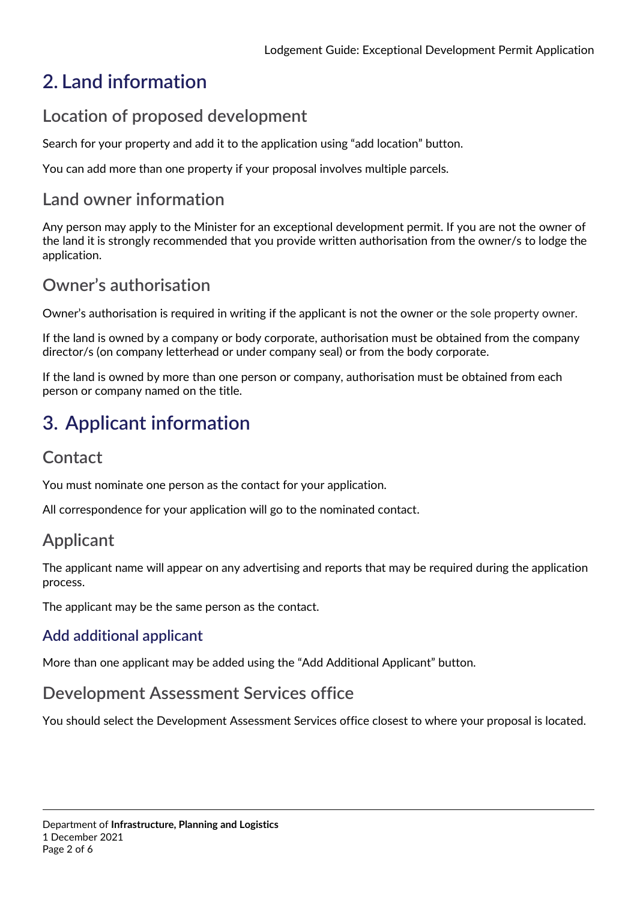# **2. Land information**

# **Location of proposed development**

Search for your property and add it to the application using "add location" button.

You can add more than one property if your proposal involves multiple parcels.

## **Land owner information**

Any person may apply to the Minister for an exceptional development permit. If you are not the owner of the land it is strongly recommended that you provide written authorisation from the owner/s to lodge the application.

# **Owner's authorisation**

Owner's authorisation is required in writing if the applicant is not the owner or the sole property owner.

If the land is owned by a company or body corporate, authorisation must be obtained from the company director/s (on company letterhead or under company seal) or from the body corporate.

If the land is owned by more than one person or company, authorisation must be obtained from each person or company named on the title.

# **3. Applicant information**

## **Contact**

You must nominate one person as the contact for your application.

All correspondence for your application will go to the nominated contact.

# **Applicant**

The applicant name will appear on any advertising and reports that may be required during the application process.

The applicant may be the same person as the contact.

#### **Add additional applicant**

More than one applicant may be added using the "Add Additional Applicant" button.

#### **Development Assessment Services office**

You should select the Development Assessment Services office closest to where your proposal is located.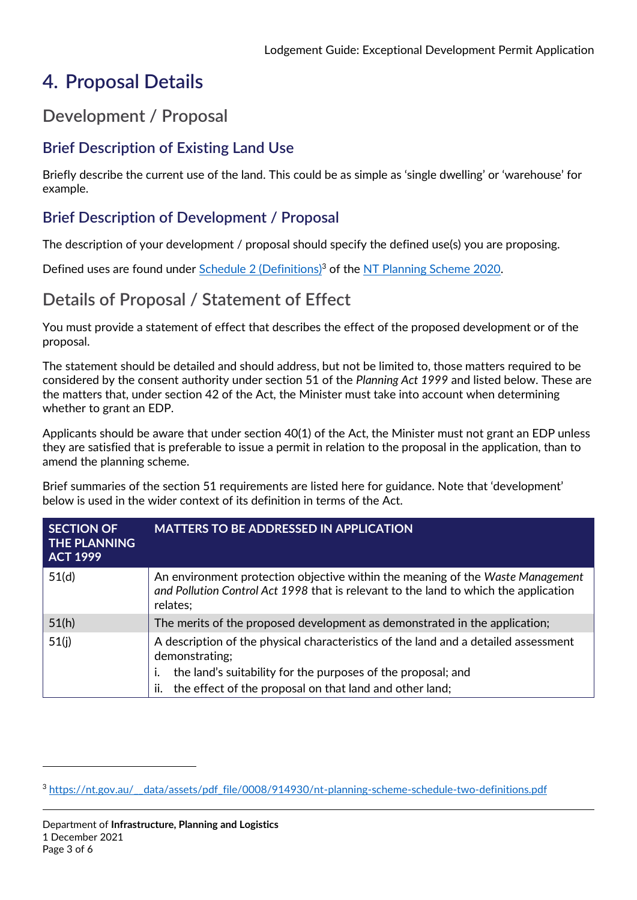# **4. Proposal Details**

# **Development / Proposal**

## **Brief Description of Existing Land Use**

Briefly describe the current use of the land. This could be as simple as 'single dwelling' or 'warehouse' for example.

#### **Brief Description of Development / Proposal**

The description of your development / proposal should specify the defined use(s) you are proposing.

Defined uses are found under [Schedule 2 \(Definitions\)](https://nt.gov.au/__data/assets/pdf_file/0008/914930/nt-planning-scheme-schedule-two-definitions.pdf)<sup>3</sup> of the [NT Planning Scheme 2020.](https://nt.gov.au/property/land-planning-and-development/our-planning-system/nt-planning-scheme)

# **Details of Proposal / Statement of Effect**

You must provide a statement of effect that describes the effect of the proposed development or of the proposal.

The statement should be detailed and should address, but not be limited to, those matters required to be considered by the consent authority under section 51 of the *Planning Act 1999* and listed below. These are the matters that, under section 42 of the Act, the Minister must take into account when determining whether to grant an EDP.

Applicants should be aware that under section 40(1) of the Act, the Minister must not grant an EDP unless they are satisfied that is preferable to issue a permit in relation to the proposal in the application, than to amend the planning scheme.

Brief summaries of the section 51 requirements are listed here for guidance. Note that 'development' below is used in the wider context of its definition in terms of the Act.

| <b>SECTION OF</b><br><b>THE PLANNING</b><br><b>ACT 1999</b> | <b>MATTERS TO BE ADDRESSED IN APPLICATION</b>                                                                                                                                      |
|-------------------------------------------------------------|------------------------------------------------------------------------------------------------------------------------------------------------------------------------------------|
| 51(d)                                                       | An environment protection objective within the meaning of the Waste Management<br>and Pollution Control Act 1998 that is relevant to the land to which the application<br>relates; |
| 51(h)                                                       | The merits of the proposed development as demonstrated in the application;                                                                                                         |
| 51(j)                                                       | A description of the physical characteristics of the land and a detailed assessment<br>demonstrating;                                                                              |
|                                                             | the land's suitability for the purposes of the proposal; and                                                                                                                       |
|                                                             | the effect of the proposal on that land and other land;<br>ii.                                                                                                                     |

 $\overline{a}$ 

<sup>&</sup>lt;sup>3</sup> [https://nt.gov.au/\\_\\_data/assets/pdf\\_file/0008/914930/nt-planning-scheme-schedule-two-definitions.pdf](https://nt.gov.au/__data/assets/pdf_file/0008/914930/nt-planning-scheme-schedule-two-definitions.pdf)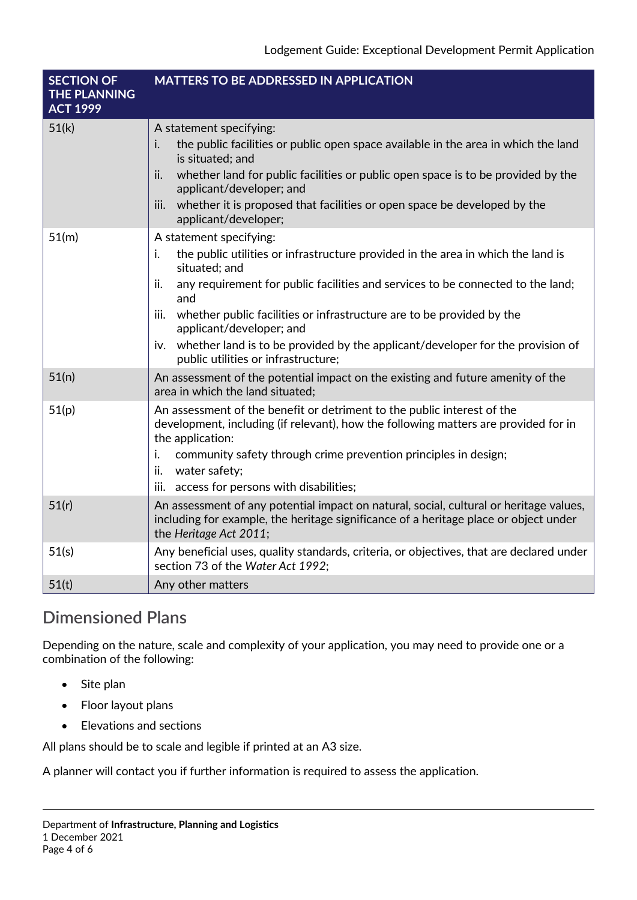| <b>SECTION OF</b><br><b>THE PLANNING</b><br><b>ACT 1999</b> | <b>MATTERS TO BE ADDRESSED IN APPLICATION</b>                                                                                                                                                                                                                                                                                                                                                                                                                                    |
|-------------------------------------------------------------|----------------------------------------------------------------------------------------------------------------------------------------------------------------------------------------------------------------------------------------------------------------------------------------------------------------------------------------------------------------------------------------------------------------------------------------------------------------------------------|
| 51(k)                                                       | A statement specifying:<br>i.<br>the public facilities or public open space available in the area in which the land<br>is situated; and<br>whether land for public facilities or public open space is to be provided by the<br>ii.<br>applicant/developer; and<br>whether it is proposed that facilities or open space be developed by the<br>iii.<br>applicant/developer;                                                                                                       |
| 51(m)                                                       | A statement specifying:<br>i.<br>the public utilities or infrastructure provided in the area in which the land is<br>situated; and<br>any requirement for public facilities and services to be connected to the land;<br>ii.<br>and<br>whether public facilities or infrastructure are to be provided by the<br>iii.<br>applicant/developer; and<br>whether land is to be provided by the applicant/developer for the provision of<br>iv.<br>public utilities or infrastructure; |
| 51(n)                                                       | An assessment of the potential impact on the existing and future amenity of the<br>area in which the land situated;                                                                                                                                                                                                                                                                                                                                                              |
| 51(p)                                                       | An assessment of the benefit or detriment to the public interest of the<br>development, including (if relevant), how the following matters are provided for in<br>the application:<br>i.<br>community safety through crime prevention principles in design;<br>ii.<br>water safety;<br>iii. access for persons with disabilities;                                                                                                                                                |
| 51(r)                                                       | An assessment of any potential impact on natural, social, cultural or heritage values,<br>including for example, the heritage significance of a heritage place or object under<br>the Heritage Act 2011;                                                                                                                                                                                                                                                                         |
| 51(s)                                                       | Any beneficial uses, quality standards, criteria, or objectives, that are declared under<br>section 73 of the Water Act 1992;                                                                                                                                                                                                                                                                                                                                                    |
| 51(t)                                                       | Any other matters                                                                                                                                                                                                                                                                                                                                                                                                                                                                |

# **Dimensioned Plans**

Depending on the nature, scale and complexity of your application, you may need to provide one or a combination of the following:

- Site plan
- Floor layout plans
- Elevations and sections

All plans should be to scale and legible if printed at an A3 size.

A planner will contact you if further information is required to assess the application.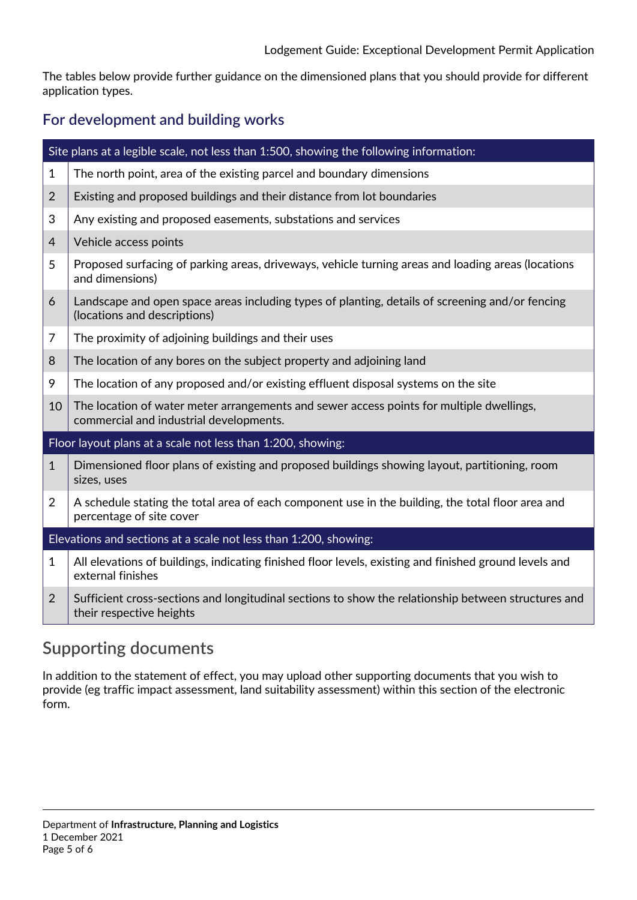The tables below provide further guidance on the dimensioned plans that you should provide for different application types.

#### **For development and building works**

|                                                                  | Site plans at a legible scale, not less than 1:500, showing the following information:                                              |  |  |
|------------------------------------------------------------------|-------------------------------------------------------------------------------------------------------------------------------------|--|--|
| $\mathbf{1}$                                                     | The north point, area of the existing parcel and boundary dimensions                                                                |  |  |
| $\overline{2}$                                                   | Existing and proposed buildings and their distance from lot boundaries                                                              |  |  |
| 3                                                                | Any existing and proposed easements, substations and services                                                                       |  |  |
| $\overline{4}$                                                   | Vehicle access points                                                                                                               |  |  |
| 5                                                                | Proposed surfacing of parking areas, driveways, vehicle turning areas and loading areas (locations<br>and dimensions)               |  |  |
| 6                                                                | Landscape and open space areas including types of planting, details of screening and/or fencing<br>(locations and descriptions)     |  |  |
| 7                                                                | The proximity of adjoining buildings and their uses                                                                                 |  |  |
| 8                                                                | The location of any bores on the subject property and adjoining land                                                                |  |  |
| 9                                                                | The location of any proposed and/or existing effluent disposal systems on the site                                                  |  |  |
| 10                                                               | The location of water meter arrangements and sewer access points for multiple dwellings,<br>commercial and industrial developments. |  |  |
| Floor layout plans at a scale not less than 1:200, showing:      |                                                                                                                                     |  |  |
| $\mathbf{1}$                                                     | Dimensioned floor plans of existing and proposed buildings showing layout, partitioning, room<br>sizes, uses                        |  |  |
| $\overline{2}$                                                   | A schedule stating the total area of each component use in the building, the total floor area and<br>percentage of site cover       |  |  |
| Elevations and sections at a scale not less than 1:200, showing: |                                                                                                                                     |  |  |
| 1                                                                | All elevations of buildings, indicating finished floor levels, existing and finished ground levels and<br>external finishes         |  |  |
| $\overline{2}$                                                   | Sufficient cross-sections and longitudinal sections to show the relationship between structures and<br>their respective heights     |  |  |

## **Supporting documents**

In addition to the statement of effect, you may upload other supporting documents that you wish to provide (eg traffic impact assessment, land suitability assessment) within this section of the electronic form.